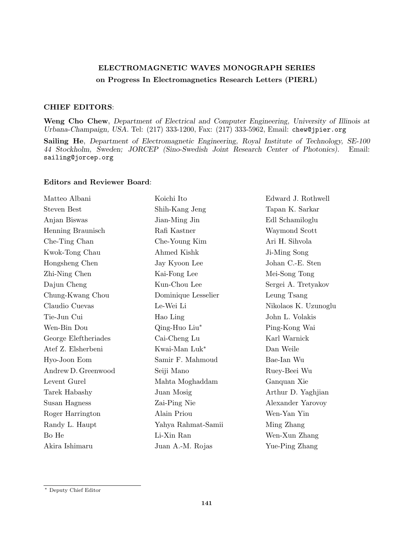## ELECTROMAGNETIC WAVES MONOGRAPH SERIES on Progress In Electromagnetics Research Letters (PIERL)

## CHIEF EDITORS:

Weng Cho Chew, Department of Electrical and Computer Engineering, University of Illinois at Urbana-Champaign, USA. Tel: (217) 333-1200, Fax: (217) 333-5962, Email: chew@jpier.org

Sailing He, Department of Electromagnetic Engineering, Royal Institute of Technology, SE-100 44 Stockholm, Sweden; JORCEP (Sino-Swedish Joint Research Center of Photonics). Email: sailing@jorcep.org

## Editors and Reviewer Board:

| Matteo Albani        | Koichi Ito          | Edward J. Rothwell   |
|----------------------|---------------------|----------------------|
| <b>Steven Best</b>   | Shih-Kang Jeng      | Tapan K. Sarkar      |
| Anjan Biswas         | Jian-Ming Jin       | Edl Schamiloglu      |
| Henning Braunisch    | Rafi Kastner        | Waymond Scott        |
| Che-Ting Chan        | Che-Young Kim       | Ari H. Sihvola       |
| Kwok-Tong Chau       | Ahmed Kishk         | Ji-Ming Song         |
| Hongsheng Chen       | Jay Kyoon Lee       | Johan C.-E. Sten     |
| Zhi-Ning Chen        | Kai-Fong Lee        | Mei-Song Tong        |
| Dajun Cheng          | Kun-Chou Lee        | Sergei A. Tretyakov  |
| Chung-Kwang Chou     | Dominique Lesselier | Leung Tsang          |
| Claudio Cuevas       | Le-Wei Li           | Nikolaos K. Uzunoglu |
| Tie-Jun Cui          | Hao Ling            | John L. Volakis      |
| Wen-Bin Dou          | Qing-Huo Liu*       | Ping-Kong Wai        |
| George Eleftheriades | Cai-Cheng Lu        | Karl Warnick         |
| Atef Z. Elsherbeni   | Kwai-Man Luk*       | Dan Weile            |
| Hyo-Joon Eom         | Samir F. Mahmoud    | Bae-Ian Wu           |
| Andrew D. Greenwood  | Seiji Mano          | Ruey-Beei Wu         |
| Levent Gurel         | Mahta Moghaddam     | Ganquan Xie          |
| Tarek Habashy        | Juan Mosig          | Arthur D. Yaghjian   |
| Susan Hagness        | Zai-Ping Nie        | Alexander Yarovoy    |
| Roger Harrington     | Alain Priou         | Wen-Yan Yin          |
| Randy L. Haupt       | Yahya Rahmat-Samii  | Ming Zhang           |
| Bo He                | Li-Xin Ran          | Wen-Xun Zhang        |
| Akira Ishimaru       | Juan A.-M. Rojas    | Yue-Ping Zhang       |

<sup>∗</sup> Deputy Chief Editor